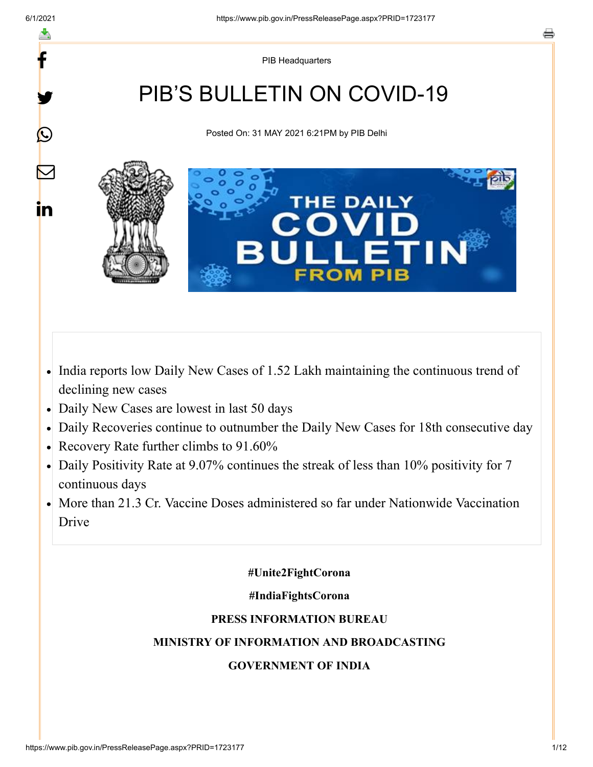y.

 $\bigcirc$ 

 $\sum$ 

in

PIB Headquarters

# PIB'S BULLETIN ON COVID-19

Posted On: 31 MAY 2021 6:21PM by PIB Delhi



## India reports low Daily New Cases of 1.52 Lakh maintaining the continuous trend of declining new cases

- Daily New Cases are lowest in last 50 days
- Daily Recoveries continue to outnumber the Daily New Cases for 18th consecutive day
- Recovery Rate further climbs to 91.60%
- Daily Positivity Rate at 9.07% continues the streak of less than 10% positivity for 7 continuous days
- More than 21.3 Cr. Vaccine Doses administered so far under Nationwide Vaccination Drive

### **#Unite2FightCorona**

#### **#IndiaFightsCorona**

### **PRESS INFORMATION BUREAU**

#### **MINISTRY OF INFORMATION AND BROADCASTING**

#### **GOVERNMENT OF INDIA**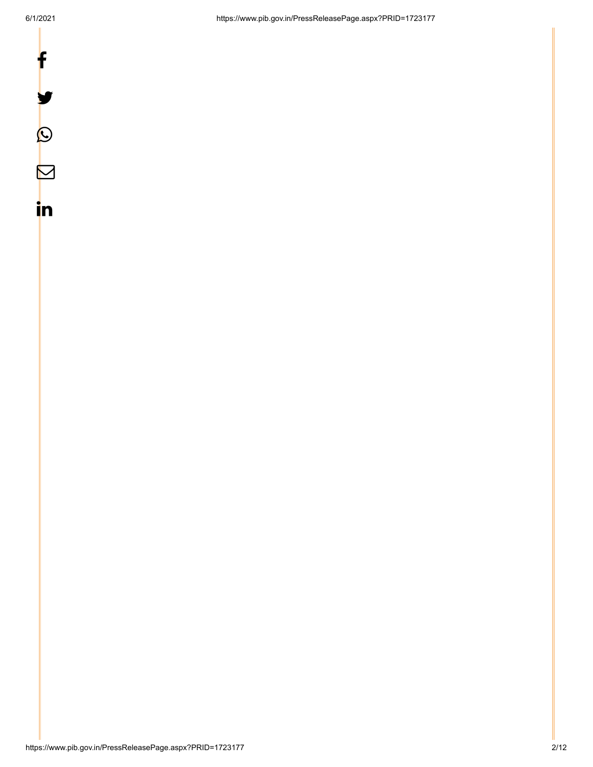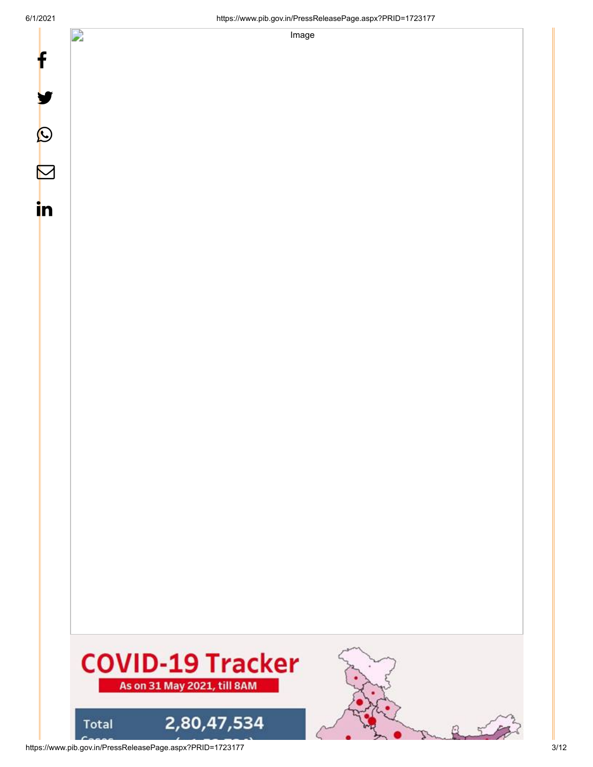D

f

y.

 $\bm{\mathcal{Q}}$ 

 $\bm{\nabla}$ 

in

Image

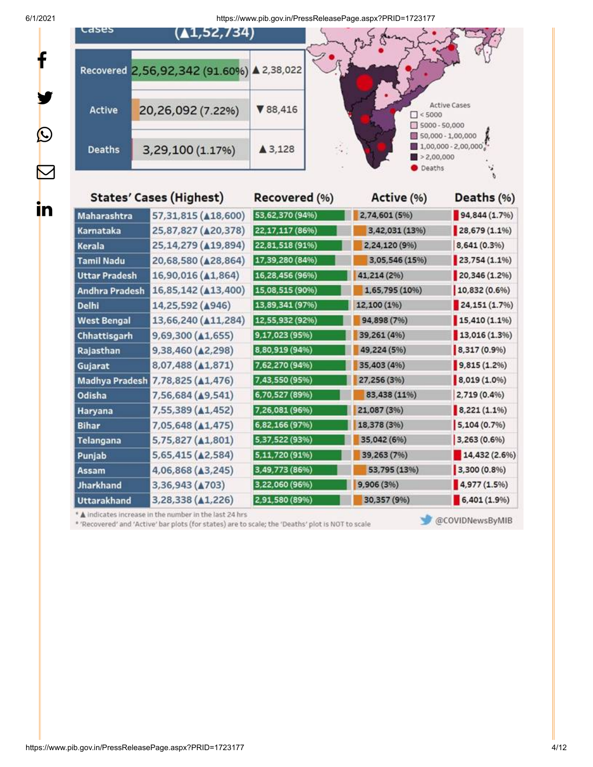in

6/1/2021 https://www.pib.gov.in/PressReleasePage.aspx?PRID=1723177



| <b>States' Cases (Highest)</b> |                                 | Recovered (%)   | Active (%)     | Deaths (%)    |
|--------------------------------|---------------------------------|-----------------|----------------|---------------|
| Maharashtra                    | 57,31,815 ( $\triangle$ 18,600) | 53,62,370 (94%) | 2,74,601 (5%)  | 94,844 (1.7%) |
| Karnataka                      | 25,87,827 ( $\triangle$ 20,378) | 22,17,117 (86%) | 3,42,031 (13%) | 28,679 (1.1%) |
| Kerala                         | 25,14,279 (419,894)             | 22,81,518 (91%) | 2,24,120 (9%)  | 8,641 (0.3%)  |
| <b>Tamil Nadu</b>              | 20,68,580 ( $\triangle$ 28,864) | 17,39,280 (84%) | 3,05,546 (15%) | 23,754 (1.1%) |
| <b>Uttar Pradesh</b>           | 16,90,016 (41,864)              | 16,28,456 (96%) | 41,214 (2%)    | 20,346 (1.2%) |
| Andhra Pradesh                 | 16,85,142 ( $\triangle$ 13,400) | 15,08,515 (90%) | 1,65,795 (10%) | 10,832 (0.6%) |
| <b>Delhi</b>                   | 14,25,592 (4946)                | 13,89,341 (97%) | 12,100 (1%)    | 24,151 (1.7%) |
| <b>West Bengal</b>             | 13,66,240 ( $\triangle$ 11,284) | 12,55,932 (92%) | 94,898 (7%)    | 15,410 (1.1%) |
| Chhattisgarh                   | $9,69,300 \ (\AA{1},655)$       | 9,17,023 (95%)  | 39,261 (4%)    | 13,016 (1.3%) |
| Rajasthan                      | 9,38,460 (42,298)               | 8,80,919 (94%)  | 49,224 (5%)    | 8,317 (0.9%)  |
| Gujarat                        | 8,07,488 ( $\triangle 1,871$ )  | 7,62,270 (94%)  | 35,403 (4%)    | 9,815(1.2%)   |
| Madhya Pradesh                 | 7,78,825 ( $\triangle$ 1,476)   | 7,43,550 (95%)  | 27,256 (3%)    | 8,019 (1.0%)  |
| Odisha                         | 7,56,684 (49,541)               | 6,70,527 (89%)  | 83,438 (11%)   | 2,719 (0.4%)  |
| Haryana                        | 7,55,389 (A1,452)               | 7,26,081 (96%)  | 21,087 (3%)    | 8,221(1.1%    |
| Bihar                          | 7,05,648 (A1,475)               | 6,82,166 (97%)  | 18,378 (3%)    | 5,104(0.7%    |
| Telangana                      | 5,75,827 ( $\triangle 1,801$ )  | 5,37,522 (93%)  | 35,042 (6%)    | 3,263 (0.6%)  |
| Punjab                         | 5,65,415 (42,584)               | 5,11,720 (91%)  | 39,263 (7%)    | 14,432 (2.6%) |
| <b>Assam</b>                   | 4,06,868 ( $\triangle$ 3,245)   | 3,49,773 (86%)  | 53,795 (13%)   | 3,300 (0.8%)  |
| <b>Jharkhand</b>               | 3,36,943 (4703)                 | 3,22,060 (96%)  | 9,906 (3%)     | 4,977(1.5%)   |
| <b>Uttarakhand</b>             | 3,28,338 ( $\triangle$ 1,226)   | 2,91,580 (89%)  | 30,357 (9%)    | 6,401(1.9%)   |

\* A indicates increase in the number in the last 24 hrs

\* 'Recovered' and 'Active' bar plots (for states) are to scale; the 'Deaths' plot is NOT to scale

@COVIDNewsByMIB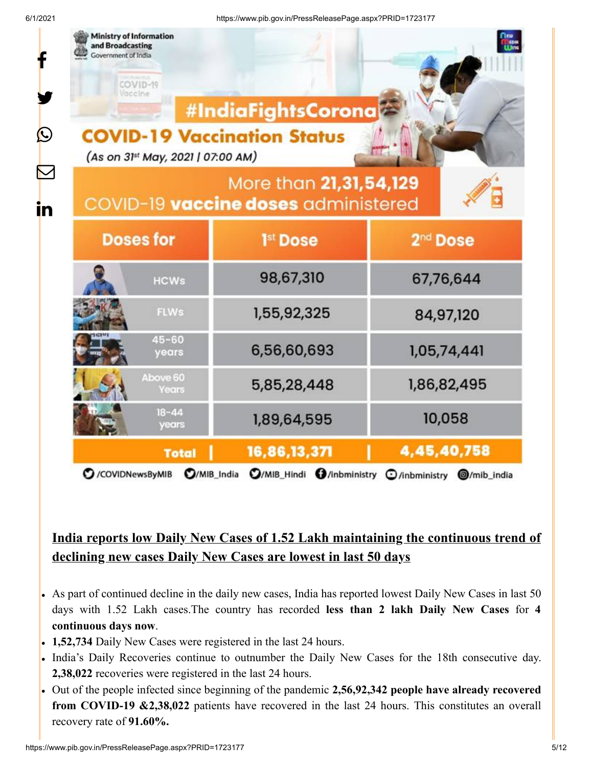| 6/1/2021         | https://www.pib.gov.in/PressReleasePage.aspx?PRID=1723177                                        |                      |                           |  |  |  |
|------------------|--------------------------------------------------------------------------------------------------|----------------------|---------------------------|--|--|--|
| ÍS)              | <b>Ministry of Information</b><br>and Broadcasting<br>Government of India<br>COVID-19<br>Vaccine | #IndiaFightsCorona   | <b>Des</b><br><b>Blue</b> |  |  |  |
|                  | <b>COVID-19 Vaccination Status</b><br>(As on 31st May, 2021   07:00 AM)                          |                      |                           |  |  |  |
|                  | More than 21,31,54,129                                                                           |                      |                           |  |  |  |
| in               | COVID-19 vaccine doses administered                                                              |                      |                           |  |  |  |
| <b>Doses for</b> |                                                                                                  | 1 <sup>st</sup> Dose | 2 <sup>nd</sup> Dose      |  |  |  |
|                  | <b>HCWs</b>                                                                                      | 98,67,310            | 67,76,644                 |  |  |  |
|                  | FLWs                                                                                             | 1,55,92,325          | 84,97,120                 |  |  |  |
|                  | $45 - 60$<br>years                                                                               | 6,56,60,693          | 1,05,74,441               |  |  |  |
|                  | Above 60<br>Years                                                                                | 5,85,28,448          | 1,86,82,495               |  |  |  |
|                  | $18 - 44$<br>years                                                                               | 1,89,64,595          | 10,058                    |  |  |  |
|                  | <b>Total</b>                                                                                     | 16,86,13,371         | 4,45,40,758               |  |  |  |

O/COVIDNewsByMIB O/MIB\_India O/MIB\_Hindi O/inbministry O/inbministry O/mib\_india

# **India reports low Daily New Cases of 1.52 Lakh maintaining the continuous trend of declining new cases Daily New Cases are lowest in last 50 days**

- As part of continued decline in the daily new cases, India has reported lowest Daily New Cases in last 50 days with 1.52 Lakh cases.The country has recorded **less than 2 lakh Daily New Cases** for **4 continuous days now**.
- **1,52,734** Daily New Cases were registered in the last 24 hours.
- India's Daily Recoveries continue to outnumber the Daily New Cases for the 18th consecutive day. **2,38,022** recoveries were registered in the last 24 hours.
- Out of the people infected since beginning of the pandemic **2,56,92,342 people have already recovered from COVID-19 &2,38,022** patients have recovered in the last 24 hours. This constitutes an overall recovery rate of **91.60%.**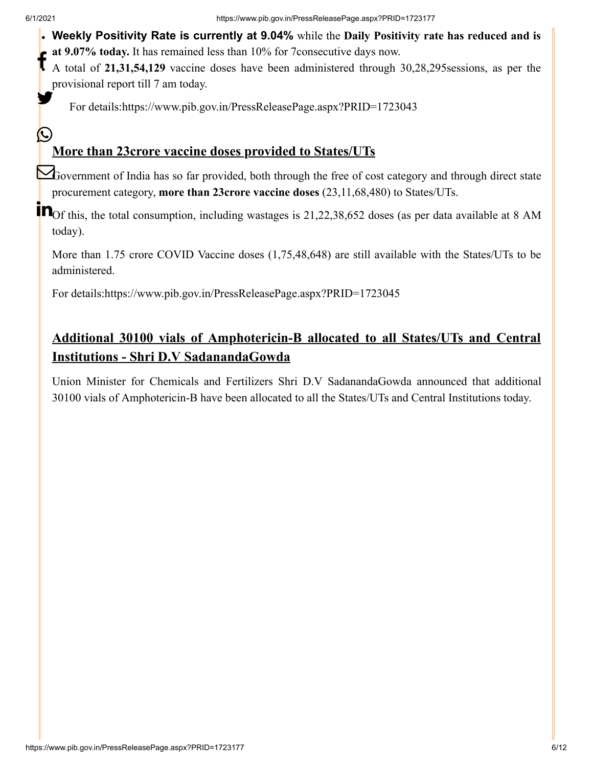C

**Weekly Positivity Rate is currently at 9.04%** while the **Daily Positivity rate has reduced and is at 9.07% today.** It has remained less than 10% for 7consecutive days now.

A total of **21,31,54,129** vaccine doses have been administered through 30,28,295sessions, as per the provisional report till 7 am today.  $f$ y.

For details[:https://www.pib.gov.in/PressReleasePage.aspx?PRID=1723043](https://www.pib.gov.in/PressReleasePage.aspx?PRID=1723043)

### **More than 23crore vaccine doses provided to States/UTs**

Government of India has so far provided, both through the free of cost category and through direct state procurement category, **more than 23crore vaccine doses** (23,11,68,480) to States/UTs.

**In** Of this, the total consumption, including wastages is 21,22,38,652 doses (as per data available at 8 AM today).

More than 1.75 crore COVID Vaccine doses (1,75,48,648) are still available with the States/UTs to be administered.

For details[:https://www.pib.gov.in/PressReleasePage.aspx?PRID=1723045](https://www.pib.gov.in/PressReleasePage.aspx?PRID=1723045)

### **Additional 30100 vials of Amphotericin-B allocated to all States/UTs and Central Institutions - Shri D.V SadanandaGowda**

Union Minister for Chemicals and Fertilizers Shri D.V SadanandaGowda announced that additional 30100 vials of Amphotericin-B have been allocated to all the States/UTs and Central Institutions today.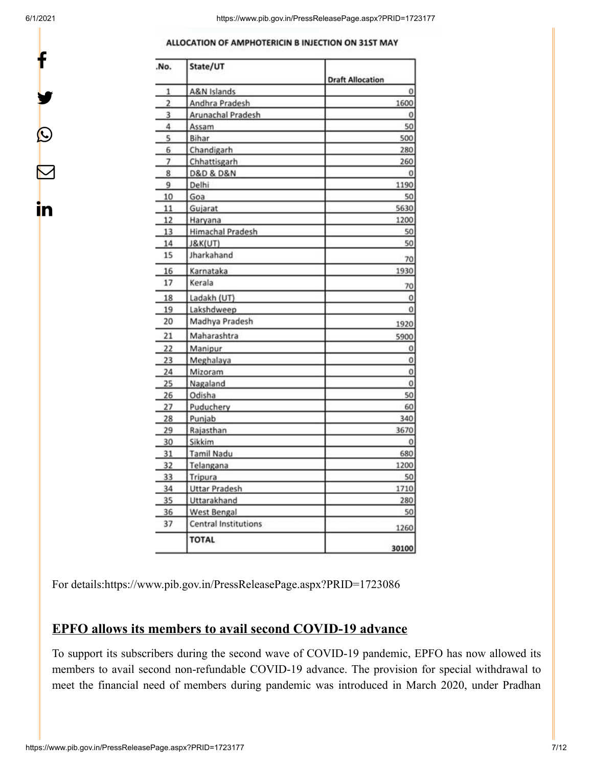y.

 $\bm{\mathcal{Q}}$ 

 $\bm{\nabla}$ 

in

#### ALLOCATION OF AMPHOTERICIN B INJECTION ON 31ST MAY

| .No.           | State/UT                     | <b>Draft Allocation</b> |
|----------------|------------------------------|-------------------------|
| 1              | <b>A&amp;N Islands</b>       | 0                       |
| $\overline{c}$ | Andhra Pradesh               | 1600                    |
| 3              | Arunachal Pradesh            | 0                       |
| 4              | Assam                        | 50                      |
| 5              | Bihar                        | 500                     |
| 6              | Chandigarh                   | 280                     |
| 7              | Chhattisgarh                 | 260                     |
| 8              | <b>D&amp;D &amp; D&amp;N</b> | 0                       |
| 9              | Delhi                        | 1190                    |
| 10             | Goa                          | 50                      |
| 11             | Gujarat                      | 5630                    |
| 12             | Haryana                      | 1200                    |
| 13             | <b>Himachal Pradesh</b>      | 50                      |
| 14             | <b>J&amp;K(UT)</b>           | 50                      |
| 15             | Jharkahand                   | 70                      |
| 16             | Karnataka                    | 1930                    |
| 17             | Kerala                       | 70                      |
| 18             | Ladakh (UT)                  | 0                       |
| 19             | Lakshdweep                   | 0                       |
| 20             | Madhya Pradesh               | 1920                    |
| 21             | Maharashtra                  | 5900                    |
| 22             | Manipur                      | 0                       |
| 23             | Meghalaya                    | 0                       |
| 24             | Mizoram                      | 0                       |
| 25             | Nagaland                     | 0                       |
| 26             | Odisha                       | 50                      |
| 27             | Puduchery                    | 60                      |
| 28             | Punjab                       | 340                     |
| 29             | Rajasthan                    | 3670                    |
| 30             | Sikkim                       | 0                       |
| 31             | <b>Tamil Nadu</b>            | 680                     |
| 32             | Telangana                    | 1200                    |
| 33             | Tripura                      | 50                      |
| 34             | <b>Uttar Pradesh</b>         | 1710                    |
| 35             | Uttarakhand                  | 280                     |
| 36             | <b>West Bengal</b>           | 50                      |
| 37             | <b>Central Institutions</b>  | 1260                    |
|                | <b>TOTAL</b>                 | 30100                   |

For details[:https://www.pib.gov.in/PressReleasePage.aspx?PRID=1723086](https://www.pib.gov.in/PressReleasePage.aspx?PRID=1723086)

### **EPFO allows its members to avail second COVID-19 advance**

To support its subscribers during the second wave of COVID-19 pandemic, EPFO has now allowed its members to avail second non-refundable COVID-19 advance. The provision for special withdrawal to meet the financial need of members during pandemic was introduced in March 2020, under Pradhan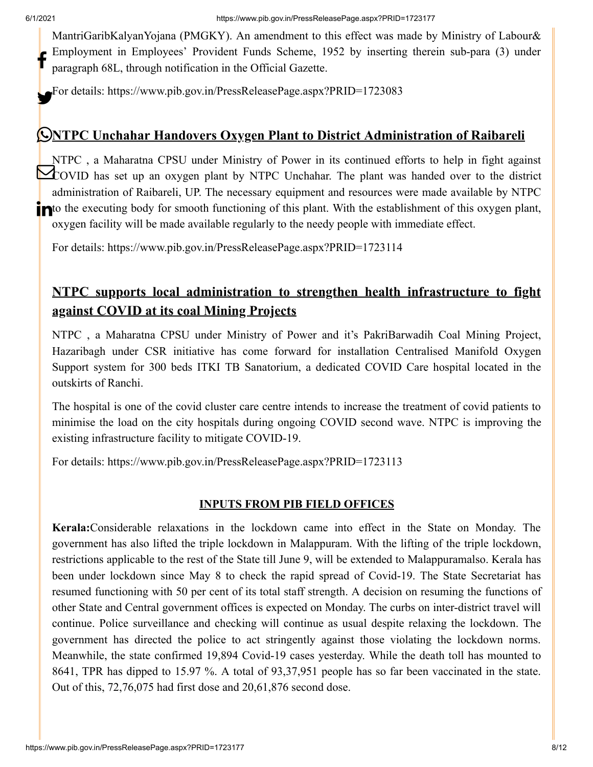MantriGaribKalyanYojana (PMGKY). An amendment to this effect was made by Ministry of Labour& Employment in Employees' Provident Funds Scheme, 1952 by inserting therein sub-para (3) under paragraph 68L, through notification in the Official Gazette. f

For details:<https://www.pib.gov.in/PressReleasePage.aspx?PRID=1723083>

# **NTPC Unchahar Handovers Oxygen Plant to District Administration of Raibareli**

NTPC , a Maharatna CPSU under Ministry of Power in its continued efforts to help in fight against COVID has set up an oxygen plant by NTPC Unchahar. The plant was handed over to the district administration of Raibareli, UP. The necessary equipment and resources were made available by NTPC to the executing body for smooth functioning of this plant. With the establishment of this oxygen plant, oxygen facility will be made available regularly to the needy people with immediate effect.

For details:<https://www.pib.gov.in/PressReleasePage.aspx?PRID=1723114>

### **NTPC supports local administration to strengthen health infrastructure to fight against COVID at its coal Mining Projects**

NTPC , a Maharatna CPSU under Ministry of Power and it's PakriBarwadih Coal Mining Project, Hazaribagh under CSR initiative has come forward for installation Centralised Manifold Oxygen Support system for 300 beds ITKI TB Sanatorium, a dedicated COVID Care hospital located in the outskirts of Ranchi.

The hospital is one of the covid cluster care centre intends to increase the treatment of covid patients to minimise the load on the city hospitals during ongoing COVID second wave. NTPC is improving the existing infrastructure facility to mitigate COVID-19.

For details:<https://www.pib.gov.in/PressReleasePage.aspx?PRID=1723113>

### **INPUTS FROM PIB FIELD OFFICES**

**Kerala:**Considerable relaxations in the lockdown came into effect in the State on Monday. The government has also lifted the triple lockdown in Malappuram. With the lifting of the triple lockdown, restrictions applicable to the rest of the State till June 9, will be extended to Malappuramalso. Kerala has been under lockdown since May 8 to check the rapid spread of Covid-19. The State Secretariat has resumed functioning with 50 per cent of its total staff strength. A decision on resuming the functions of other State and Central government offices is expected on Monday. The curbs on inter-district travel will continue. Police surveillance and checking will continue as usual despite relaxing the lockdown. The government has directed the police to act stringently against those violating the lockdown norms. Meanwhile, the state confirmed 19,894 Covid-19 cases yesterday. While the death toll has mounted to 8641, TPR has dipped to 15.97 %. A total of 93,37,951 people has so far been vaccinated in the state. Out of this, 72,76,075 had first dose and 20,61,876 second dose.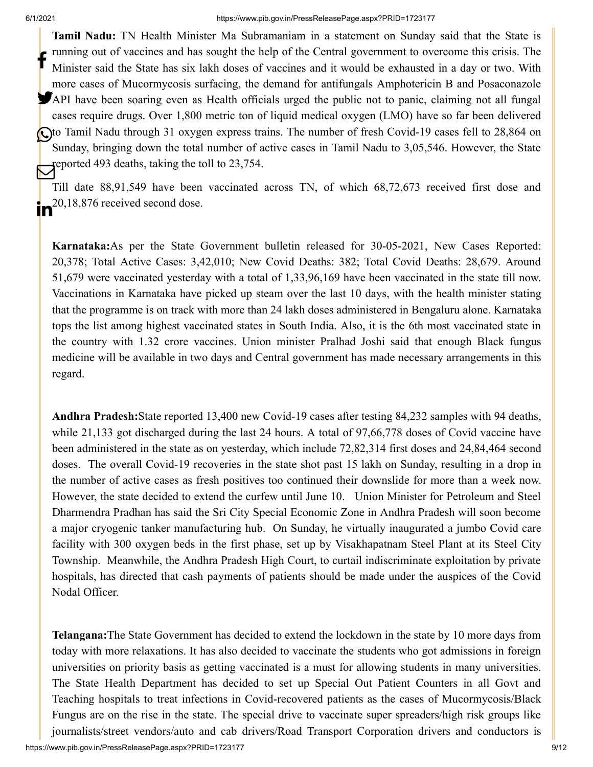#### 6/1/2021 https://www.pib.gov.in/PressReleasePage.aspx?PRID=1723177

**Tamil Nadu:** TN Health Minister Ma Subramaniam in a statement on Sunday said that the State is running out of vaccines and has sought the help of the Central government to overcome this crisis. The Minister said the State has six lakh doses of vaccines and it would be exhausted in a day or two. With more cases of Mucormycosis surfacing, the demand for antifungals Amphotericin B and Posaconazole API have been soaring even as Health officials urged the public not to panic, claiming not all fungal cases require drugs. Over 1,800 metric ton of liquid medical oxygen (LMO) have so far been delivered to Tamil Nadu through 31 oxygen express trains. The number of fresh Covid-19 cases fell to 28,864 on Sunday, bringing down the total number of active cases in Tamil Nadu to 3,05,546. However, the State reported 493 deaths, taking the toll to 23,754. f

Till date 88,91,549 have been vaccinated across TN, of which 68,72,673 received first dose and  $\ln^{20,18,876}$  received second dose.

**Karnataka:**As per the State Government bulletin released for 30-05-2021, New Cases Reported: 20,378; Total Active Cases: 3,42,010; New Covid Deaths: 382; Total Covid Deaths: 28,679. Around 51,679 were vaccinated yesterday with a total of 1,33,96,169 have been vaccinated in the state till now. Vaccinations in Karnataka have picked up steam over the last 10 days, with the health minister stating that the programme is on track with more than 24 lakh doses administered in Bengaluru alone. Karnataka tops the list among highest vaccinated states in South India. Also, it is the 6th most vaccinated state in the country with 1.32 crore vaccines. Union minister Pralhad Joshi said that enough Black fungus medicine will be available in two days and Central government has made necessary arrangements in this regard.

**Andhra Pradesh:**State reported 13,400 new Covid-19 cases after testing 84,232 samples with 94 deaths, while 21,133 got discharged during the last 24 hours. A total of 97,66,778 doses of Covid vaccine have been administered in the state as on yesterday, which include 72,82,314 first doses and 24,84,464 second doses. The overall Covid-19 recoveries in the state shot past 15 lakh on Sunday, resulting in a drop in the number of active cases as fresh positives too continued their downslide for more than a week now. However, the state decided to extend the curfew until June 10. Union Minister for Petroleum and Steel Dharmendra Pradhan has said the Sri City Special Economic Zone in Andhra Pradesh will soon become a major cryogenic tanker manufacturing hub. On Sunday, he virtually inaugurated a jumbo Covid care facility with 300 oxygen beds in the first phase, set up by Visakhapatnam Steel Plant at its Steel City Township. Meanwhile, the Andhra Pradesh High Court, to curtail indiscriminate exploitation by private hospitals, has directed that cash payments of patients should be made under the auspices of the Covid Nodal Officer.

**Telangana:**The State Government has decided to extend the lockdown in the state by 10 more days from today with more relaxations. It has also decided to vaccinate the students who got admissions in foreign universities on priority basis as getting vaccinated is a must for allowing students in many universities. The State Health Department has decided to set up Special Out Patient Counters in all Govt and Teaching hospitals to treat infections in Covid-recovered patients as the cases of Mucormycosis/Black Fungus are on the rise in the state. The special drive to vaccinate super spreaders/high risk groups like journalists/street vendors/auto and cab drivers/Road Transport Corporation drivers and conductors is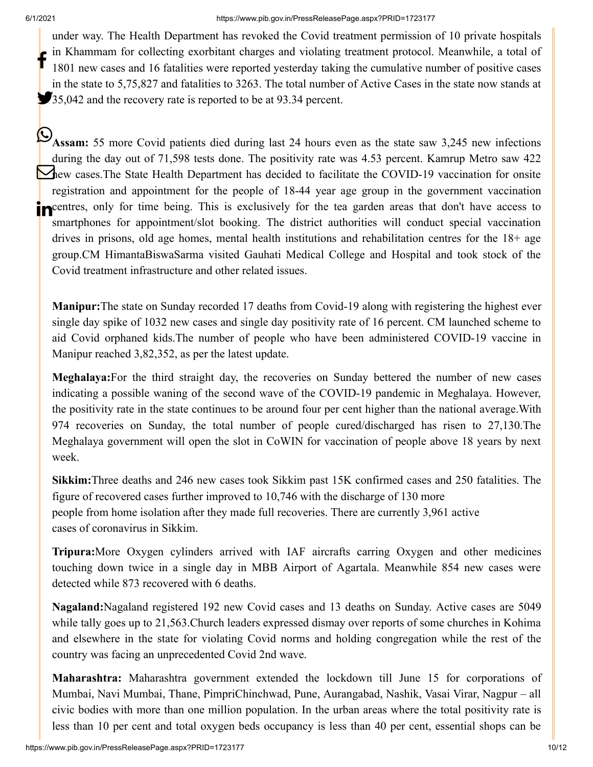6/1/2021 https://www.pib.gov.in/PressReleasePage.aspx?PRID=1723177

under way. The Health Department has revoked the Covid treatment permission of 10 private hospitals in Khammam for collecting exorbitant charges and violating treatment protocol. Meanwhile, a total of 1801 new cases and 16 fatalities were reported yesterday taking the cumulative number of positive cases in the state to 5,75,827 and fatalities to 3263. The total number of Active Cases in the state now stands at 35,042 and the recovery rate is reported to be at 93.34 percent. f

**Assam:** 55 more Covid patients died during last 24 hours even as the state saw 3,245 new infections during the day out of 71,598 tests done. The positivity rate was 4.53 percent. Kamrup Metro saw 422 **New cases.**The State Health Department has decided to facilitate the COVID-19 vaccination for onsite registration and appointment for the people of 18-44 year age group in the government vaccination **in** centres, only for time being. This is exclusively for the tea garden areas that don't have access to smartphones for appointment/slot booking. The district authorities will conduct special vaccination drives in prisons, old age homes, mental health institutions and rehabilitation centres for the 18+ age group.CM HimantaBiswaSarma visited Gauhati Medical College and Hospital and took stock of the Covid treatment infrastructure and other related issues.

**Manipur:**The state on Sunday recorded 17 deaths from Covid-19 along with registering the highest ever single day spike of 1032 new cases and single day positivity rate of 16 percent. CM launched scheme to aid Covid orphaned kids.The number of people who have been administered COVID-19 vaccine in Manipur reached 3,82,352, as per the latest update.

**Meghalaya:**For the third straight day, the recoveries on Sunday bettered the number of new cases indicating a possible waning of the second wave of the COVID-19 pandemic in Meghalaya. However, the positivity rate in the state continues to be around four per cent higher than the national average.With 974 recoveries on Sunday, the total number of people cured/discharged has risen to 27,130.The Meghalaya government will open the slot in CoWIN for vaccination of people above 18 years by next week.

**Sikkim:**Three deaths and 246 new cases took Sikkim past 15K confirmed cases and 250 fatalities. The figure of recovered cases further improved to 10,746 with the discharge of 130 more people from home isolation after they made full recoveries. There are currently 3,961 active cases of coronavirus in Sikkim.

**Tripura:**More Oxygen cylinders arrived with IAF aircrafts carring Oxygen and other medicines touching down twice in a single day in MBB Airport of Agartala. Meanwhile 854 new cases were detected while 873 recovered with 6 deaths.

**Nagaland:**Nagaland registered 192 new Covid cases and 13 deaths on Sunday. Active cases are 5049 while tally goes up to 21,563.Church leaders expressed dismay over reports of some churches in Kohima and elsewhere in the state for violating Covid norms and holding congregation while the rest of the country was facing an unprecedented Covid 2nd wave.

**Maharashtra:** Maharashtra government extended the lockdown till June 15 for corporations of Mumbai, Navi Mumbai, Thane, PimpriChinchwad, Pune, Aurangabad, Nashik, Vasai Virar, Nagpur – all civic bodies with more than one million population. In the urban areas where the total positivity rate is less than 10 per cent and total oxygen beds occupancy is less than 40 per cent, essential shops can be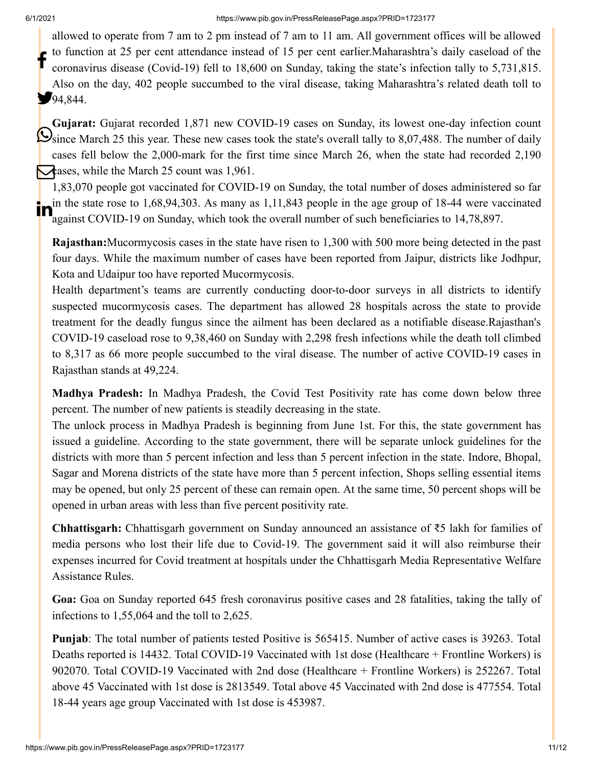#### 6/1/2021 https://www.pib.gov.in/PressReleasePage.aspx?PRID=1723177

allowed to operate from 7 am to 2 pm instead of 7 am to 11 am. All government offices will be allowed to function at 25 per cent attendance instead of 15 per cent earlier.Maharashtra's daily caseload of the coronavirus disease (Covid-19) fell to 18,600 on Sunday, taking the state's infection tally to 5,731,815. Also on the day, 402 people succumbed to the viral disease, taking Maharashtra's related death toll to 94,844. f

**Gujarat:** Gujarat recorded 1,871 new COVID-19 cases on Sunday, its lowest one-day infection count Since March 25 this year. These new cases took the state's overall tally to 8,07,488. The number of daily cases fell below the 2,000-mark for the first time since March 26, when the state had recorded 2,190 cases, while the March 25 count was 1,961.

1,83,070 people got vaccinated for COVID-19 on Sunday, the total number of doses administered so far in the state rose to 1,68,94,303. As many as 1,11,843 people in the age group of 18-44 were vaccinated against COVID-19 on Sunday, which took the overall number of such beneficiaries to 14,78,897. in

**Rajasthan:**Mucormycosis cases in the state have risen to 1,300 with 500 more being detected in the past four days. While the maximum number of cases have been reported from Jaipur, districts like Jodhpur, Kota and Udaipur too have reported Mucormycosis.

Health department's teams are currently conducting door-to-door surveys in all districts to identify suspected mucormycosis cases. The department has allowed 28 hospitals across the state to provide treatment for the deadly fungus since the ailment has been declared as a notifiable disease.Rajasthan's COVID-19 caseload rose to 9,38,460 on Sunday with 2,298 fresh infections while the death toll climbed to 8,317 as 66 more people succumbed to the viral disease. The number of active COVID-19 cases in Rajasthan stands at 49,224.

**Madhya Pradesh:** In Madhya Pradesh, the Covid Test Positivity rate has come down below three percent. The number of new patients is steadily decreasing in the state.

The unlock process in Madhya Pradesh is beginning from June 1st. For this, the state government has issued a guideline. According to the state government, there will be separate unlock guidelines for the districts with more than 5 percent infection and less than 5 percent infection in the state. Indore, Bhopal, Sagar and Morena districts of the state have more than 5 percent infection, Shops selling essential items may be opened, but only 25 percent of these can remain open. At the same time, 50 percent shops will be opened in urban areas with less than five percent positivity rate.

**Chhattisgarh:** Chhattisgarh government on Sunday announced an assistance of ₹5 lakh for families of media persons who lost their life due to Covid-19. The government said it will also reimburse their expenses incurred for Covid treatment at hospitals under the Chhattisgarh Media Representative Welfare Assistance Rules.

**Goa:** Goa on Sunday reported 645 fresh coronavirus positive cases and 28 fatalities, taking the tally of infections to 1,55,064 and the toll to 2,625.

**Punjab**: The total number of patients tested Positive is 565415. Number of active cases is 39263. Total Deaths reported is 14432. Total COVID-19 Vaccinated with 1st dose (Healthcare + Frontline Workers) is 902070. Total COVID-19 Vaccinated with 2nd dose (Healthcare + Frontline Workers) is 252267. Total above 45 Vaccinated with 1st dose is 2813549. Total above 45 Vaccinated with 2nd dose is 477554. Total 18-44 years age group Vaccinated with 1st dose is 453987.